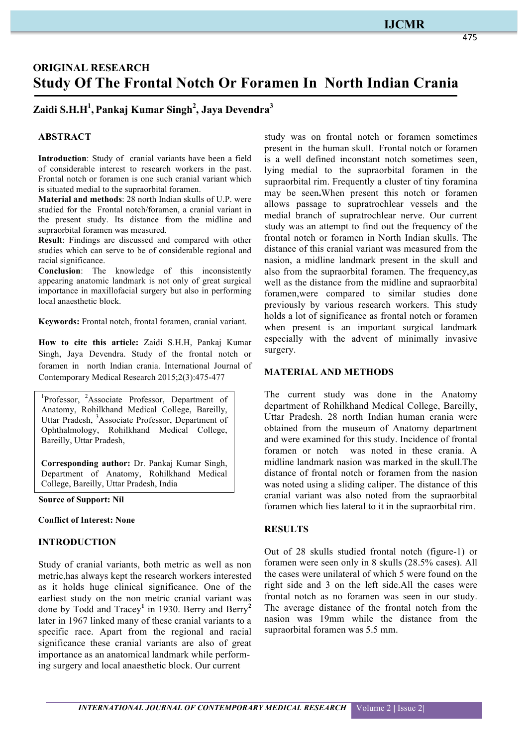## **IJCMR**

475

# **ORIGINAL RESEARCH Study Of The Frontal Notch Or Foramen In North Indian Crania**

## **Zaidi S.H.H1 , Pankaj Kumar Singh<sup>2</sup> , Jaya Devendra<sup>3</sup>**

### **ABSTRACT**

**Introduction**: Study of cranial variants have been a field of considerable interest to research workers in the past. Frontal notch or foramen is one such cranial variant which is situated medial to the supraorbital foramen.

**Material and methods**: 28 north Indian skulls of U.P. were studied for the Frontal notch/foramen, a cranial variant in the present study. Its distance from the midline and supraorbital foramen was measured.

**Result**: Findings are discussed and compared with other studies which can serve to be of considerable regional and racial significance.

**Conclusion**: The knowledge of this inconsistently appearing anatomic landmark is not only of great surgical importance in maxillofacial surgery but also in performing local anaesthetic block.

**Keywords:** Frontal notch, frontal foramen, cranial variant.

**How to cite this article:** Zaidi S.H.H, Pankaj Kumar Singh, Jaya Devendra. Study of the frontal notch or foramen in north Indian crania. International Journal of Contemporary Medical Research 2015;2(3):475-477

<sup>1</sup>Professor, <sup>2</sup>Associate Professor, Department of Anatomy, Rohilkhand Medical College, Bareilly, Uttar Pradesh, <sup>3</sup>Associate Professor, Department of Ophthalmology, Rohilkhand Medical College, Bareilly, Uttar Pradesh,

**Corresponding author:** Dr. Pankaj Kumar Singh, Department of Anatomy, Rohilkhand Medical College, Bareilly, Uttar Pradesh, India

**Source of Support: Nil**

#### **Conflict of Interest: None**

#### **INTRODUCTION**

Study of cranial variants, both metric as well as non metric,has always kept the research workers interested as it holds huge clinical significance. One of the earliest study on the non metric cranial variant was done by Todd and Tracey**<sup>1</sup>** in 1930. Berry and Berry**<sup>2</sup>** later in 1967 linked many of these cranial variants to a specific race. Apart from the regional and racial significance these cranial variants are also of great importance as an anatomical landmark while performing surgery and local anaesthetic block. Our current

study was on frontal notch or foramen sometimes present in the human skull. Frontal notch or foramen is a well defined inconstant notch sometimes seen, lying medial to the supraorbital foramen in the supraorbital rim. Frequently a cluster of tiny foramina may be seen**.**When present this notch or foramen allows passage to supratrochlear vessels and the medial branch of supratrochlear nerve. Our current study was an attempt to find out the frequency of the frontal notch or foramen in North Indian skulls. The distance of this cranial variant was measured from the nasion, a midline landmark present in the skull and also from the supraorbital foramen. The frequency,as well as the distance from the midline and supraorbital foramen,were compared to similar studies done previously by various research workers. This study holds a lot of significance as frontal notch or foramen when present is an important surgical landmark especially with the advent of minimally invasive surgery.

#### **MATERIAL AND METHODS**

The current study was done in the Anatomy department of Rohilkhand Medical College, Bareilly, Uttar Pradesh. 28 north Indian human crania were obtained from the museum of Anatomy department and were examined for this study. Incidence of frontal foramen or notch was noted in these crania. A midline landmark nasion was marked in the skull.The distance of frontal notch or foramen from the nasion was noted using a sliding caliper. The distance of this cranial variant was also noted from the supraorbital foramen which lies lateral to it in the supraorbital rim.

## **RESULTS**

Out of 28 skulls studied frontal notch (figure-1) or foramen were seen only in 8 skulls (28.5% cases). All the cases were unilateral of which 5 were found on the right side and 3 on the left side.All the cases were frontal notch as no foramen was seen in our study. The average distance of the frontal notch from the nasion was 19mm while the distance from the supraorbital foramen was 5.5 mm.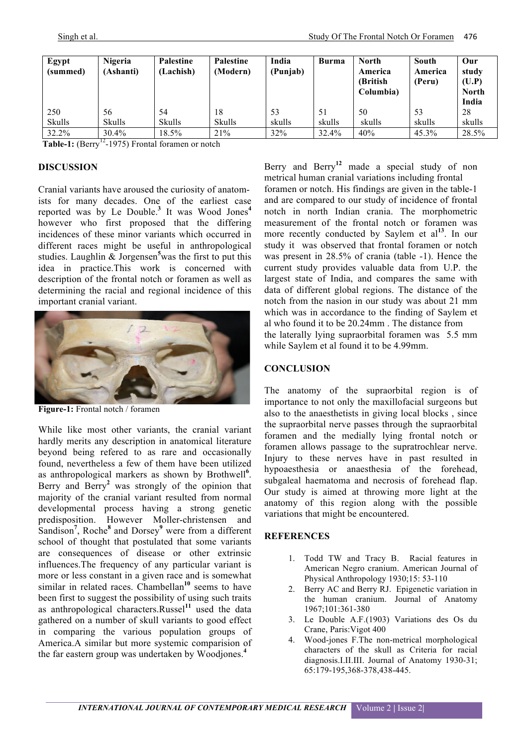| Egypt<br>(summed) | <b>Nigeria</b><br>(Ashanti) | Palestine<br>(Lachish) | Palestine<br>(Modern) | India<br>(Punjab) | <b>Burma</b> | <b>North</b><br>America<br>(British)<br>Columbia) | South<br>America<br>(Peru) | Our<br>study<br>(U.P)<br><b>North</b> |
|-------------------|-----------------------------|------------------------|-----------------------|-------------------|--------------|---------------------------------------------------|----------------------------|---------------------------------------|
| 250<br>Skulls     | 56<br><b>Skulls</b>         | 54<br><b>Skulls</b>    | 18<br><b>Skulls</b>   | 53<br>skulls      | 51<br>skulls | 50<br>skulls                                      | 53<br>skulls               | India<br>28<br>skulls                 |
| 32.2%             | $30.4\%$                    | 18.5%                  | 21%                   | 32%               | 32.4%        | 40%                                               | 45.3%                      | 28.5%                                 |

**Table-1:** (Berry<sup>12</sup>-1975) Frontal foramen or notch

### **DISCUSSION**

Cranial variants have aroused the curiosity of anatomists for many decades. One of the earliest case reported was by Le Double. **<sup>3</sup>** It was Wood Jones**<sup>4</sup>** however who first proposed that the differing incidences of these minor variants which occurred in different races might be useful in anthropological studies. Laughlin & Jorgensen**<sup>5</sup>** was the first to put this idea in practice.This work is concerned with description of the frontal notch or foramen as well as determining the racial and regional incidence of this important cranial variant.



**Figure-1:** Frontal notch / foramen

While like most other variants, the cranial variant hardly merits any description in anatomical literature beyond being refered to as rare and occasionally found, nevertheless a few of them have been utilized as anthropological markers as shown by Brothwell**<sup>6</sup>** . Berry and Berry**<sup>2</sup>** was strongly of the opinion that majority of the cranial variant resulted from normal developmental process having a strong genetic predisposition. However Moller-christensen and Sandison**<sup>7</sup>** , Roche**<sup>8</sup>** and Dorsey**<sup>9</sup>** were from a different school of thought that postulated that some variants are consequences of disease or other extrinsic influences.The frequency of any particular variant is more or less constant in a given race and is somewhat similar in related races. Chambellan<sup>10</sup> seems to have been first to suggest the possibility of using such traits as anthropological characters.Russel**<sup>11</sup>** used the data gathered on a number of skull variants to good effect in comparing the various population groups of America.A similar but more systemic comparision of the far eastern group was undertaken by Woodjones.**<sup>4</sup>**

Berry and Berry**<sup>12</sup>** made a special study of non metrical human cranial variations including frontal foramen or notch. His findings are given in the table-1 and are compared to our study of incidence of frontal notch in north Indian crania. The morphometric measurement of the frontal notch or foramen was more recently conducted by Saylem et al<sup>13</sup>. In our study it was observed that frontal foramen or notch was present in 28.5% of crania (table -1). Hence the current study provides valuable data from U.P. the largest state of India, and compares the same with data of different global regions. The distance of the notch from the nasion in our study was about 21 mm which was in accordance to the finding of Saylem et al who found it to be 20.24mm . The distance from the laterally lying supraorbital foramen was 5.5 mm while Saylem et al found it to be 4.99mm.

## **CONCLUSION**

The anatomy of the supraorbital region is of importance to not only the maxillofacial surgeons but also to the anaesthetists in giving local blocks , since the supraorbital nerve passes through the supraorbital foramen and the medially lying frontal notch or foramen allows passage to the supratrochlear nerve. Injury to these nerves have in past resulted in hypoaesthesia or anaesthesia of the forehead, subgaleal haematoma and necrosis of forehead flap. Our study is aimed at throwing more light at the anatomy of this region along with the possible variations that might be encountered.

#### **REFERENCES**

- 1. Todd TW and Tracy B. Racial features in American Negro cranium. American Journal of Physical Anthropology 1930;15: 53-110
- 2. Berry AC and Berry RJ. Epigenetic variation in the human cranium. Journal of Anatomy 1967;101:361-380
- 3. Le Double A.F.(1903) Variations des Os du Crane, Paris:Vigot 400
- 4. Wood-jones F.The non-metrical morphological characters of the skull as Criteria for racial diagnosis.I.II.III. Journal of Anatomy 1930-31; 65:179-195,368-378,438-445.